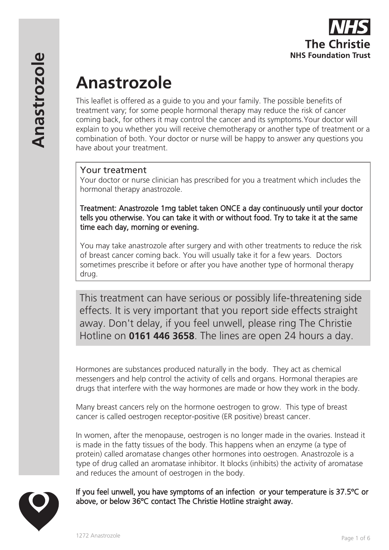

# **Anastrozole**

This leaflet is offered as a guide to you and your family. The possible benefits of treatment vary; for some people hormonal therapy may reduce the risk of cancer coming back, for others it may control the cancer and its symptoms.Your doctor will explain to you whether you will receive chemotherapy or another type of treatment or a combination of both. Your doctor or nurse will be happy to answer any questions you have about your treatment.

# Your treatment

Your doctor or nurse clinician has prescribed for you a treatment which includes the hormonal therapy anastrozole.

Treatment: Anastrozole 1mg tablet taken ONCE a day continuously until your doctor tells you otherwise. You can take it with or without food. Try to take it at the same time each day, morning or evening.

You may take anastrozole after surgery and with other treatments to reduce the risk of breast cancer coming back. You will usually take it for a few years. Doctors sometimes prescribe it before or after you have another type of hormonal therapy drug.

This treatment can have serious or possibly life-threatening side effects. It is very important that you report side effects straight away. Don't delay, if you feel unwell, please ring The Christie Hotline on **0161 446 3658**. The lines are open 24 hours a day.

Hormones are substances produced naturally in the body. They act as chemical messengers and help control the activity of cells and organs. Hormonal therapies are drugs that interfere with the way hormones are made or how they work in the body.

Many breast cancers rely on the hormone oestrogen to grow. This type of breast cancer is called oestrogen receptor-positive (ER positive) breast cancer.

In women, after the menopause, oestrogen is no longer made in the ovaries. Instead it is made in the fatty tissues of the body. This happens when an enzyme (a type of protein) called aromatase changes other hormones into oestrogen. Anastrozole is a type of drug called an aromatase inhibitor. It blocks (inhibits) the activity of aromatase and reduces the amount of oestrogen in the body.

If you feel unwell, you have symptoms of an infection or your temperature is 37.5ºC or above, or below 36ºC contact The Christie Hotline straight away.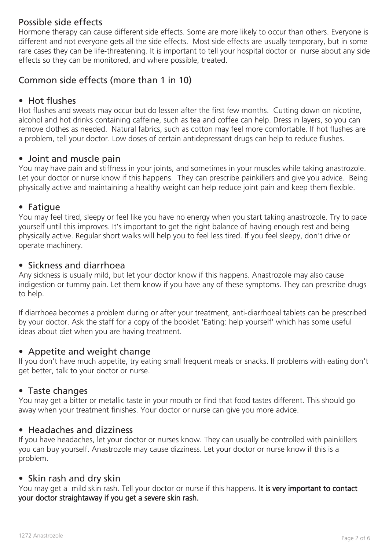# Possible side effects

Hormone therapy can cause different side effects. Some are more likely to occur than others. Everyone is different and not everyone gets all the side effects. Most side effects are usually temporary, but in some rare cases they can be life-threatening. It is important to tell your hospital doctor or nurse about any side effects so they can be monitored, and where possible, treated.

# Common side effects (more than 1 in 10)

# • Hot flushes

Hot flushes and sweats may occur but do lessen after the first few months. Cutting down on nicotine, alcohol and hot drinks containing caffeine, such as tea and coffee can help. Dress in layers, so you can remove clothes as needed. Natural fabrics, such as cotton may feel more comfortable. If hot flushes are a problem, tell your doctor. Low doses of certain antidepressant drugs can help to reduce flushes.

# • Joint and muscle pain

You may have pain and stiffness in your joints, and sometimes in your muscles while taking anastrozole. Let your doctor or nurse know if this happens. They can prescribe painkillers and give you advice. Being physically active and maintaining a healthy weight can help reduce joint pain and keep them flexible.

#### • Fatigue

You may feel tired, sleepy or feel like you have no energy when you start taking anastrozole. Try to pace yourself until this improves. It's important to get the right balance of having enough rest and being physically active. Regular short walks will help you to feel less tired. If you feel sleepy, don't drive or operate machinery.

#### • Sickness and diarrhoea

Any sickness is usually mild, but let your doctor know if this happens. Anastrozole may also cause indigestion or tummy pain. Let them know if you have any of these symptoms. They can prescribe drugs to help.

If diarrhoea becomes a problem during or after your treatment, anti-diarrhoeal tablets can be prescribed by your doctor. Ask the staff for a copy of the booklet 'Eating: help yourself' which has some useful ideas about diet when you are having treatment.

# • Appetite and weight change

If you don't have much appetite, try eating small frequent meals or snacks. If problems with eating don't get better, talk to your doctor or nurse.

# • Taste changes

You may get a bitter or metallic taste in your mouth or find that food tastes different. This should go away when your treatment finishes. Your doctor or nurse can give you more advice.

# • Headaches and dizziness

If you have headaches, let your doctor or nurses know. They can usually be controlled with painkillers you can buy yourself. Anastrozole may cause dizziness. Let your doctor or nurse know if this is a problem.

# • Skin rash and dry skin

You may get a mild skin rash. Tell your doctor or nurse if this happens. It is very important to contact your doctor straightaway if you get a severe skin rash.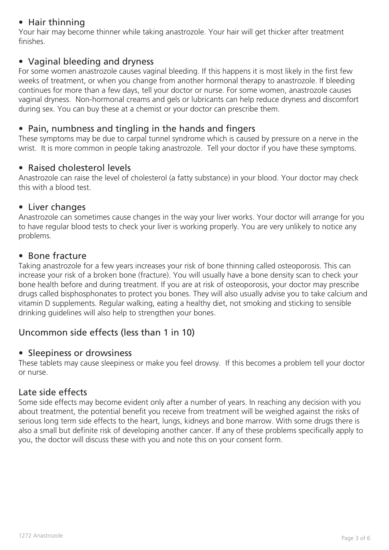# • Hair thinning

Your hair may become thinner while taking anastrozole. Your hair will get thicker after treatment finishes.

# • Vaginal bleeding and dryness

For some women anastrozole causes vaginal bleeding. If this happens it is most likely in the first few weeks of treatment, or when you change from another hormonal therapy to anastrozole. If bleeding continues for more than a few days, tell your doctor or nurse. For some women, anastrozole causes vaginal dryness. Non-hormonal creams and gels or lubricants can help reduce dryness and discomfort during sex. You can buy these at a chemist or your doctor can prescribe them.

# • Pain, numbness and tingling in the hands and fingers

These symptoms may be due to carpal tunnel syndrome which is caused by pressure on a nerve in the wrist. It is more common in people taking anastrozole. Tell your doctor if you have these symptoms.

# • Raised cholesterol levels

Anastrozole can raise the level of cholesterol (a fatty substance) in your blood. Your doctor may check this with a blood test.

#### • Liver changes

Anastrozole can sometimes cause changes in the way your liver works. Your doctor will arrange for you to have regular blood tests to check your liver is working properly. You are very unlikely to notice any problems.

# • Bone fracture

Taking anastrozole for a few years increases your risk of bone thinning called osteoporosis. This can increase your risk of a broken bone (fracture). You will usually have a bone density scan to check your bone health before and during treatment. If you are at risk of osteoporosis, your doctor may prescribe drugs called bisphosphonates to protect you bones. They will also usually advise you to take calcium and vitamin D supplements. Regular walking, eating a healthy diet, not smoking and sticking to sensible drinking guidelines will also help to strengthen your bones.

# Uncommon side effects (less than 1 in 10)

# • Sleepiness or drowsiness

These tablets may cause sleepiness or make you feel drowsy. If this becomes a problem tell your doctor or nurse.

# Late side effects

Some side effects may become evident only after a number of years. In reaching any decision with you about treatment, the potential benefit you receive from treatment will be weighed against the risks of serious long term side effects to the heart, lungs, kidneys and bone marrow. With some drugs there is also a small but definite risk of developing another cancer. If any of these problems specifically apply to you, the doctor will discuss these with you and note this on your consent form.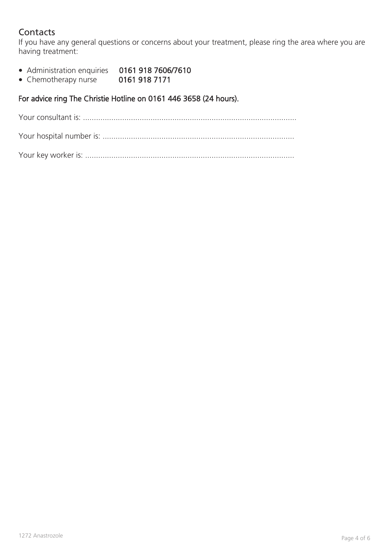# **Contacts**

If you have any general questions or concerns about your treatment, please ring the area where you are having treatment:

- Administration enquiries 0161 918 7606/7610
- Chemotherapy nurse 0161 918 7171

# For advice ring The Christie Hotline on 0161 446 3658 (24 hours).

Your consultant is: ..................................................................................................

|--|--|

Your key worker is: ................................................................................................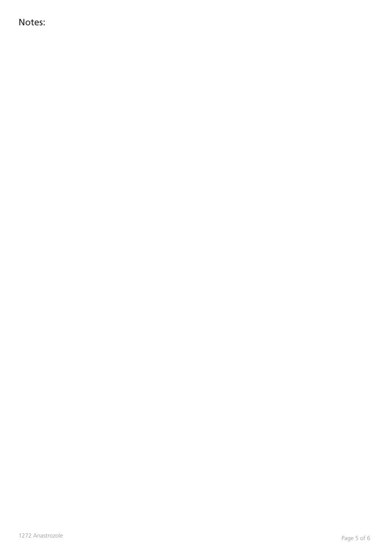Notes: